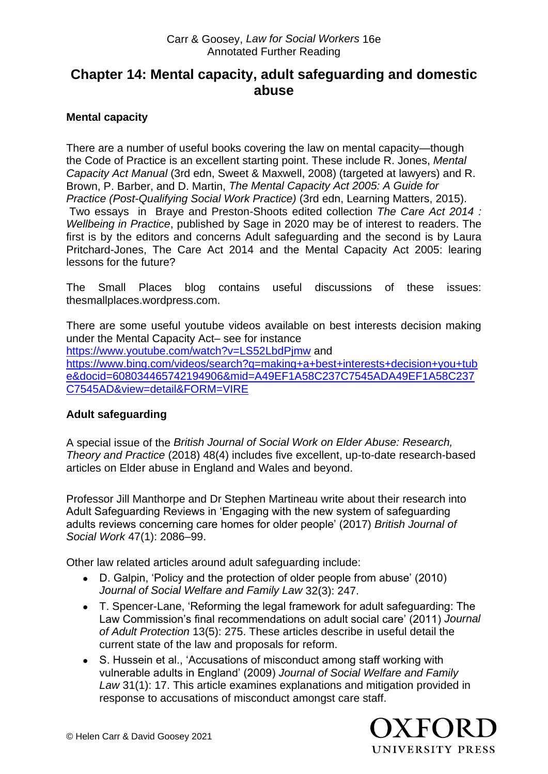#### Carr & Goosey, *Law for Social Workers* 16e Annotated Further Reading

# **Chapter 14: Mental capacity, adult safeguarding and domestic abuse**

### **Mental capacity**

There are a number of useful books covering the law on mental capacity—though the Code of Practice is an excellent starting point. These include R. Jones, *Mental Capacity Act Manual* (3rd edn, Sweet & Maxwell, 2008) (targeted at lawyers) and R. Brown, P. Barber, and D. Martin, *The Mental Capacity Act 2005: A Guide for Practice (Post-Qualifying Social Work Practice)* (3rd edn, Learning Matters, 2015). Two essays in Braye and Preston-Shoots edited collection *The Care Act 2014 : Wellbeing in Practice*, published by Sage in 2020 may be of interest to readers. The first is by the editors and concerns Adult safeguarding and the second is by Laura Pritchard-Jones, The Care Act 2014 and the Mental Capacity Act 2005: learing lessons for the future?

The Small Places blog contains useful discussions of these issues: thesmallplaces.wordpress.com.

There are some useful youtube videos available on best interests decision making under the Mental Capacity Act– see for instance <https://www.youtube.com/watch?v=LS52LbdPjmw> and [https://www.bing.com/videos/search?q=making+a+best+interests+decision+you+tub](https://www.bing.com/videos/search?q=making+a+best+interests+decision+you+tube&docid=608034465742194906&mid=A49EF1A58C237C7545ADA49EF1A58C237C7545AD&view=detail&FORM=VIRE) [e&docid=608034465742194906&mid=A49EF1A58C237C7545ADA49EF1A58C237](https://www.bing.com/videos/search?q=making+a+best+interests+decision+you+tube&docid=608034465742194906&mid=A49EF1A58C237C7545ADA49EF1A58C237C7545AD&view=detail&FORM=VIRE) [C7545AD&view=detail&FORM=VIRE](https://www.bing.com/videos/search?q=making+a+best+interests+decision+you+tube&docid=608034465742194906&mid=A49EF1A58C237C7545ADA49EF1A58C237C7545AD&view=detail&FORM=VIRE)

#### **Adult safeguarding**

A special issue of the *British Journal of Social Work on Elder Abuse: Research, Theory and Practice* (2018) 48(4) includes five excellent, up-to-date research-based articles on Elder abuse in England and Wales and beyond.

Professor Jill Manthorpe and Dr Stephen Martineau write about their research into Adult Safeguarding Reviews in 'Engaging with the new system of safeguarding adults reviews concerning care homes for older people' (2017) *British Journal of Social Work* 47(1): 2086–99.

Other law related articles around adult safeguarding include:

- D. Galpin, 'Policy and the protection of older people from abuse' (2010) *Journal of Social Welfare and Family Law* 32(3): 247.
- T. Spencer-Lane, 'Reforming the legal framework for adult safeguarding: The Law Commission's final recommendations on adult social care' (2011) *Journal of Adult Protection* 13(5): 275. These articles describe in useful detail the current state of the law and proposals for reform.
- S. Hussein et al., 'Accusations of misconduct among staff working with vulnerable adults in England' (2009) *Journal of Social Welfare and Family Law* 31(1): 17. This article examines explanations and mitigation provided in response to accusations of misconduct amongst care staff.